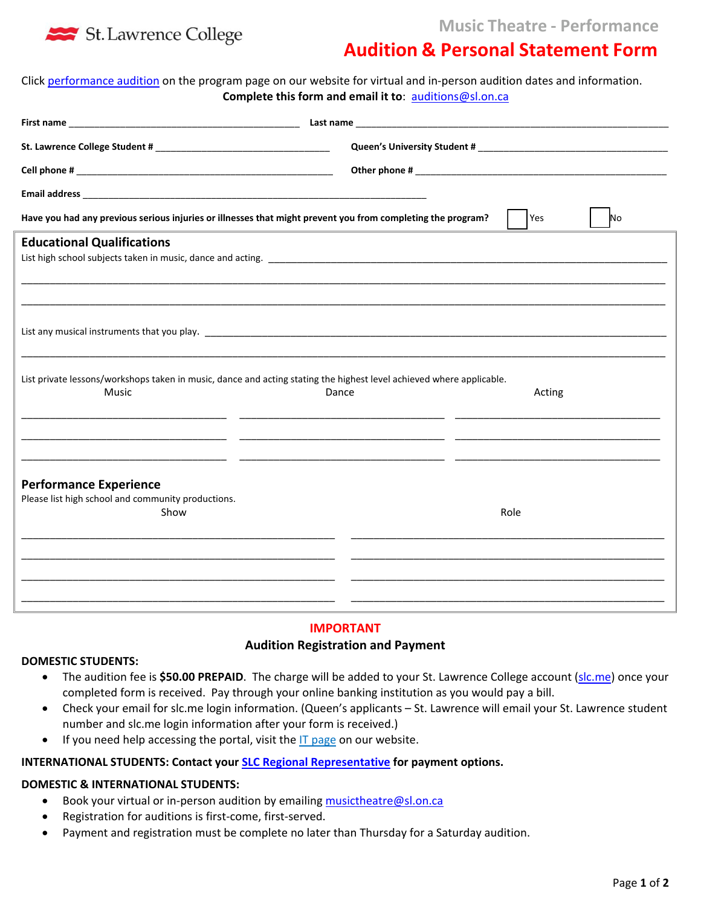

# **Audition & Personal Statement Form**

Click [performance audition](https://www.stlawrencecollege.ca/programs/audition-for-the-music-theatre) on the program page on our website for virtual and in-person audition dates and information. **Complete this form and email it to: [auditions@sl.on.ca](mailto:auditions@sl.on.ca)** 

| Have you had any previous serious injuries or illnesses that might prevent you from completing the program?                                                                                                                    | <b>Yes</b><br>No |
|--------------------------------------------------------------------------------------------------------------------------------------------------------------------------------------------------------------------------------|------------------|
| <b>Educational Qualifications</b>                                                                                                                                                                                              |                  |
| List any musical instruments that you play. Later and the contract of the contract of the contract of the contract of the contract of the contract of the contract of the contract of the contract of the contract of the cont |                  |
| List private lessons/workshops taken in music, dance and acting stating the highest level achieved where applicable.<br><b>Music</b>                                                                                           | Dance<br>Acting  |
|                                                                                                                                                                                                                                |                  |
| <u> 1980 - Jan Stein Berlin, Amerikaansk politiker (</u><br><b>Performance Experience</b><br>Please list high school and community productions.<br>Show                                                                        | Role             |
|                                                                                                                                                                                                                                |                  |

#### **IMPORTANT**

#### **Audition Registration and Payment**

#### **DOMESTIC STUDENTS:**

- The audition fee is \$50.00 PREPAID. The charge will be added to your St. Lawrence College account [\(slc.me\)](https://stlawrencecollege.sharepoint.com/sites/slcme) once your completed form is received. Pay through your online banking institution as you would pay a bill.
- Check your email for slc.me login information. (Queen's applicants St. Lawrence will email your St. Lawrence student number and slc.me login information after your form is received.)
- If you need help accessing the portal, visit the [IT page](http://www.stlawrencecollege.ca/campuses-and-services/services-and-facilities/it-services/) on our website.

## **INTERNATIONAL STUDENTS: Contact your [SLC Regional Representative](https://can01.safelinks.protection.outlook.com/?url=https%3A%2F%2Fwww.stlawrencecollege.ca%2Fprograms-and-courses%2Ffull-time%2Finternational-what-you-need%2Ffind-an-slc-office-abroad%2F&data=02%7C01%7CATrent%40sl.on.ca%7C19d81c6ab765475ddf0808d8190a527d%7C974d39279bb448c9b65c6094393d030b%7C1%7C0%7C637286879689331529&sdata=EyNa8j3VIVQfi%2FkBS%2By2kYrFIeb1hlJgMFVYtafGG9U%3D&reserved=0) for payment options.**

#### **DOMESTIC & INTERNATIONAL STUDENTS:**

- Book your virtual or in-person audition by emailing [musictheatre@sl.on.ca](mailto:musictheatre@sl.on.ca)
- Registration for auditions is first-come, first-served.
- Payment and registration must be complete no later than Thursday for a Saturday audition.